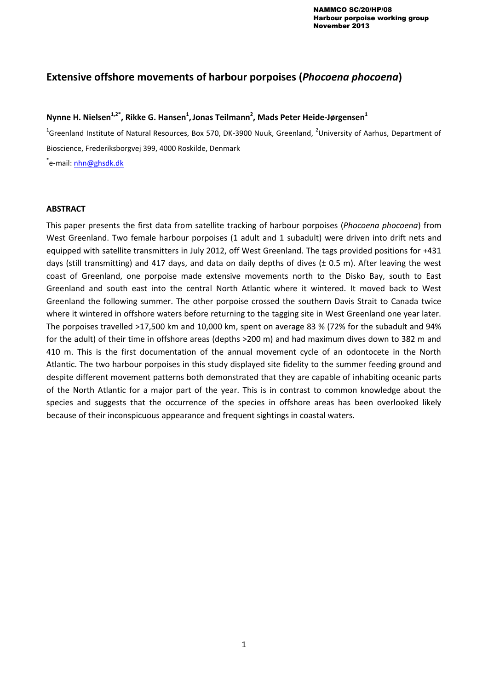# **Extensive offshore movements of harbour porpoises (***Phocoena phocoena***)**

## **Nynne H. Nielsen1,2\*, Rikke G. Hansen<sup>1</sup> ,Jonas Teilmann<sup>2</sup> , Mads Peter Heide-Jørgensen<sup>1</sup>**

<sup>1</sup>Greenland Institute of Natural Resources, Box 570, DK-3900 Nuuk, Greenland, <sup>2</sup>University of Aarhus, Department of Bioscience, Frederiksborgvej 399, 4000 Roskilde, Denmark

\*e-mail: <u>nhn@ghsdk.dk</u>

### **ABSTRACT**

This paper presents the first data from satellite tracking of harbour porpoises (*Phocoena phocoena*) from West Greenland. Two female harbour porpoises (1 adult and 1 subadult) were driven into drift nets and equipped with satellite transmitters in July 2012, off West Greenland. The tags provided positions for +431 days (still transmitting) and 417 days, and data on daily depths of dives ( $\pm$  0.5 m). After leaving the west coast of Greenland, one porpoise made extensive movements north to the Disko Bay, south to East Greenland and south east into the central North Atlantic where it wintered. It moved back to West Greenland the following summer. The other porpoise crossed the southern Davis Strait to Canada twice where it wintered in offshore waters before returning to the tagging site in West Greenland one year later. The porpoises travelled >17,500 km and 10,000 km, spent on average 83 % (72% for the subadult and 94% for the adult) of their time in offshore areas (depths >200 m) and had maximum dives down to 382 m and 410 m. This is the first documentation of the annual movement cycle of an odontocete in the North Atlantic. The two harbour porpoises in this study displayed site fidelity to the summer feeding ground and despite different movement patterns both demonstrated that they are capable of inhabiting oceanic parts of the North Atlantic for a major part of the year. This is in contrast to common knowledge about the species and suggests that the occurrence of the species in offshore areas has been overlooked likely because of their inconspicuous appearance and frequent sightings in coastal waters.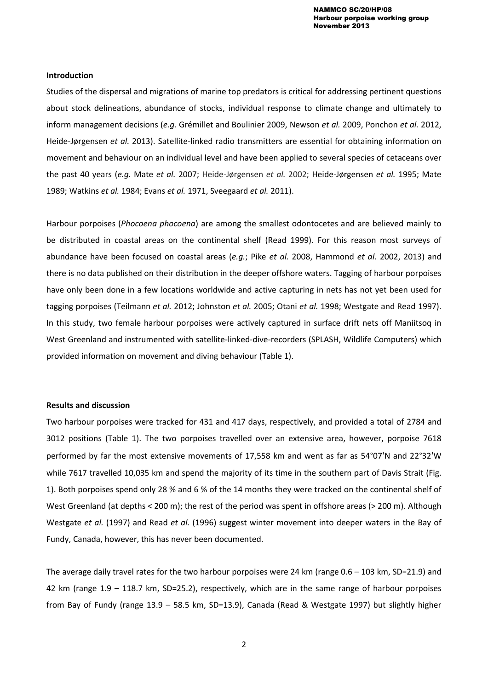#### **Introduction**

Studies of the dispersal and migrations of marine top predators is critical for addressing pertinent questions about stock delineations, abundance of stocks, individual response to climate change and ultimately to inform management decisions (*e.g.* Grémillet and Boulinier 2009, Newson *et al.* 2009, Ponchon *et al.* 2012, Heide-Jørgensen *et al.* 2013). Satellite-linked radio transmitters are essential for obtaining information on movement and behaviour on an individual level and have been applied to several species of cetaceans over the past 40 years (*e.g.* Mate *et al.* 2007; Heide-Jørgensen *et al.* 2002; Heide-Jørgensen *et al.* 1995; Mate 1989; Watkins *et al.* 1984; Evans *et al.* 1971, Sveegaard *et al.* 2011).

Harbour porpoises (*Phocoena phocoena*) are among the smallest odontocetes and are believed mainly to be distributed in coastal areas on the continental shelf (Read 1999). For this reason most surveys of abundance have been focused on coastal areas (*e.g.*; Pike *et al.* 2008, Hammond *et al.* 2002, 2013) and there is no data published on their distribution in the deeper offshore waters. Tagging of harbour porpoises have only been done in a few locations worldwide and active capturing in nets has not yet been used for tagging porpoises (Teilmann *et al.* 2012; Johnston *et al.* 2005; Otani *et al.* 1998; Westgate and Read 1997). In this study, two female harbour porpoises were actively captured in surface drift nets off Maniitsoq in West Greenland and instrumented with satellite-linked-dive-recorders (SPLASH, Wildlife Computers) which provided information on movement and diving behaviour (Table 1).

#### **Results and discussion**

Two harbour porpoises were tracked for 431 and 417 days, respectively, and provided a total of 2784 and 3012 positions (Table 1). The two porpoises travelled over an extensive area, however, porpoise 7618 performed by far the most extensive movements of 17,558 km and went as far as 54°07'N and 22°32'W while 7617 travelled 10,035 km and spend the majority of its time in the southern part of Davis Strait (Fig. 1). Both porpoises spend only 28 % and 6 % of the 14 months they were tracked on the continental shelf of West Greenland (at depths < 200 m); the rest of the period was spent in offshore areas (> 200 m). Although Westgate *et al.* (1997) and Read *et al.* (1996) suggest winter movement into deeper waters in the Bay of Fundy, Canada, however, this has never been documented.

The average daily travel rates for the two harbour porpoises were 24 km (range 0.6 – 103 km, SD=21.9) and 42 km (range 1.9 – 118.7 km, SD=25.2), respectively, which are in the same range of harbour porpoises from Bay of Fundy (range 13.9 – 58.5 km, SD=13.9), Canada (Read & Westgate 1997) but slightly higher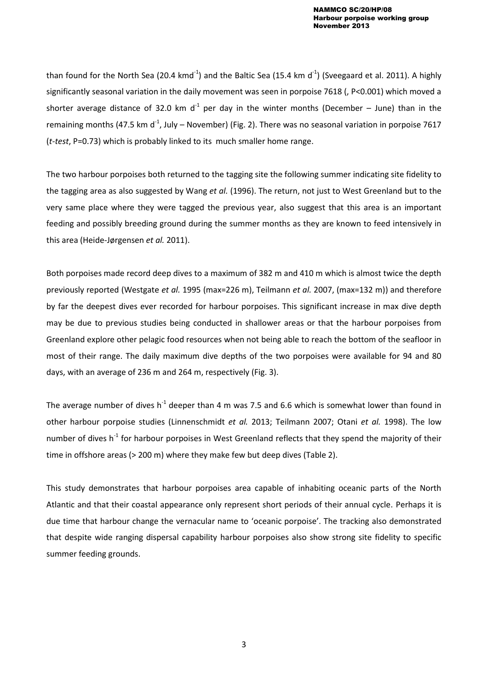than found for the North Sea (20.4 kmd<sup>-1</sup>) and the Baltic Sea (15.4 km d<sup>-1</sup>) (Sveegaard et al. 2011). A highly significantly seasonal variation in the daily movement was seen in porpoise 7618 (, P<0.001) which moved a shorter average distance of 32.0 km d<sup>-1</sup> per day in the winter months (December – June) than in the remaining months (47.5 km d<sup>-1</sup>, July – November) (Fig. 2). There was no seasonal variation in porpoise 7617 (*t-test*, P=0.73) which is probably linked to its much smaller home range.

The two harbour porpoises both returned to the tagging site the following summer indicating site fidelity to the tagging area as also suggested by Wang *et al.* (1996). The return, not just to West Greenland but to the very same place where they were tagged the previous year, also suggest that this area is an important feeding and possibly breeding ground during the summer months as they are known to feed intensively in this area (Heide-Jørgensen *et al.* 2011).

Both porpoises made record deep dives to a maximum of 382 m and 410 m which is almost twice the depth previously reported (Westgate *et al.* 1995 (max=226 m), Teilmann *et al.* 2007, (max=132 m)) and therefore by far the deepest dives ever recorded for harbour porpoises. This significant increase in max dive depth may be due to previous studies being conducted in shallower areas or that the harbour porpoises from Greenland explore other pelagic food resources when not being able to reach the bottom of the seafloor in most of their range. The daily maximum dive depths of the two porpoises were available for 94 and 80 days, with an average of 236 m and 264 m, respectively (Fig. 3).

The average number of dives  $h^{-1}$  deeper than 4 m was 7.5 and 6.6 which is somewhat lower than found in other harbour porpoise studies (Linnenschmidt *et al.* 2013; Teilmann 2007; Otani *et al.* 1998). The low number of dives  $h^{-1}$  for harbour porpoises in West Greenland reflects that they spend the majority of their time in offshore areas (> 200 m) where they make few but deep dives (Table 2).

This study demonstrates that harbour porpoises area capable of inhabiting oceanic parts of the North Atlantic and that their coastal appearance only represent short periods of their annual cycle. Perhaps it is due time that harbour change the vernacular name to 'oceanic porpoise'. The tracking also demonstrated that despite wide ranging dispersal capability harbour porpoises also show strong site fidelity to specific summer feeding grounds.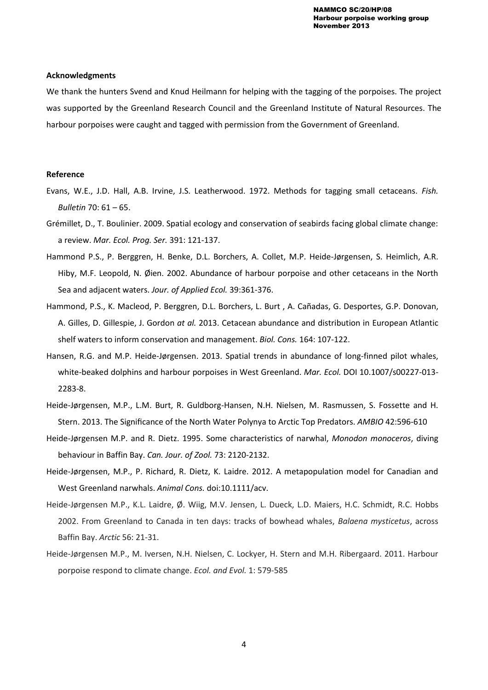### **Acknowledgments**

We thank the hunters Svend and Knud Heilmann for helping with the tagging of the porpoises. The project was supported by the Greenland Research Council and the Greenland Institute of Natural Resources. The harbour porpoises were caught and tagged with permission from the Government of Greenland.

#### **Reference**

- Evans, W.E., J.D. Hall, A.B. Irvine, J.S. Leatherwood. 1972. Methods for tagging small cetaceans. *Fish. Bulletin* 70: 61 – 65.
- Grémillet, D., T. Boulinier. 2009. Spatial ecology and conservation of seabirds facing global climate change: a review. *Mar. Ecol. Prog. Ser.* 391: 121-137.
- Hammond P.S., P. Berggren, H. Benke, D.L. Borchers, A. Collet, M.P. Heide-Jørgensen, S. Heimlich, A.R. Hiby, M.F. Leopold, N. Øien. 2002. Abundance of harbour porpoise and other cetaceans in the North Sea and adjacent waters. *Jour. of Applied Ecol.* 39:361-376.
- Hammond, P.S., K. Macleod, P. Berggren, D.L. Borchers, L. Burt , A. Cañadas, G. Desportes, G.P. Donovan, A. Gilles, D. Gillespie, J. Gordon *at al.* 2013. Cetacean abundance and distribution in European Atlantic shelf waters to inform conservation and management. *Biol. Cons.* 164: 107-122.
- Hansen, R.G. and M.P. Heide-Jørgensen. 2013. Spatial trends in abundance of long-finned pilot whales, white-beaked dolphins and harbour porpoises in West Greenland. *Mar. Ecol.* DOI 10.1007/s00227-013- 2283-8.
- Heide-Jørgensen, M.P., L.M. Burt, R. Guldborg-Hansen, N.H. Nielsen, M. Rasmussen, S. Fossette and H. Stern. 2013. The Significance of the North Water Polynya to Arctic Top Predators. *AMBIO* 42:596-610
- Heide-Jørgensen M.P. and R. Dietz. 1995. Some characteristics of narwhal, *Monodon monoceros*, diving behaviour in Baffin Bay. *Can. Jour. of Zool.* 73: 2120-2132.
- Heide-Jørgensen, M.P., P. Richard, R. Dietz, K. Laidre. 2012. A metapopulation model for Canadian and West Greenland narwhals. *Animal Cons.* doi:10.1111/acv.
- Heide-Jørgensen M.P., K.L. Laidre, Ø. Wiig, M.V. Jensen, L. Dueck, L.D. Maiers, H.C. Schmidt, R.C. Hobbs 2002. From Greenland to Canada in ten days: tracks of bowhead whales, *Balaena mysticetus*, across Baffin Bay. *Arctic* 56: 21-31.
- Heide-Jørgensen M.P., M. Iversen, N.H. Nielsen, C. Lockyer, H. Stern and M.H. Ribergaard. 2011. Harbour porpoise respond to climate change. *Ecol. and Evol.* 1: 579-585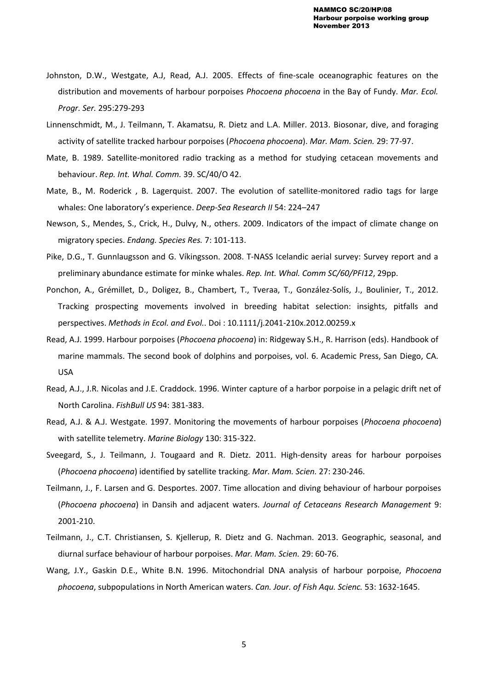- Johnston, D.W., Westgate, A.J, Read, A.J. 2005. Effects of fine-scale oceanographic features on the distribution and movements of harbour porpoises *Phocoena phocoena* in the Bay of Fundy. *Mar. Ecol. Progr. Ser.* 295:279-293
- Linnenschmidt, M., J. Teilmann, T. Akamatsu, R. Dietz and L.A. Miller. 2013. Biosonar, dive, and foraging activity of satellite tracked harbour porpoises (*Phocoena phocoena*). *Mar. Mam. Scien.* 29: 77-97.
- Mate, B. 1989. Satellite-monitored radio tracking as a method for studying cetacean movements and behaviour. *Rep. Int. Whal. Comm.* 39. SC/40/O 42.
- Mate, B., M. Roderick , B. Lagerquist. 2007. The evolution of satellite-monitored radio tags for large whales: One laboratory's experience. *Deep-Sea Research II* 54: 224–247
- Newson, S., Mendes, S., Crick, H., Dulvy, N., others. 2009. Indicators of the impact of climate change on migratory species. *Endang. Species Res.* 7: 101-113.
- Pike, D.G., T. Gunnlaugsson and G. Víkingsson. 2008. T-NASS Icelandic aerial survey: Survey report and a preliminary abundance estimate for minke whales. *Rep. Int. Whal. Comm SC/60/PFI12*, 29pp.
- Ponchon, A., Grémillet, D., Doligez, B., Chambert, T., Tveraa, T., González-Solís, J., Boulinier, T., 2012. Tracking prospecting movements involved in breeding habitat selection: insights, pitfalls and perspectives. *Methods in Ecol. and Evol.*. Doi : 10.1111/j.2041-210x.2012.00259.x
- Read, A.J. 1999. Harbour porpoises (*Phocoena phocoena*) in: Ridgeway S.H., R. Harrison (eds). Handbook of marine mammals. The second book of dolphins and porpoises, vol. 6. Academic Press, San Diego, CA. USA
- Read, A.J., J.R. Nicolas and J.E. Craddock. 1996. Winter capture of a harbor porpoise in a pelagic drift net of North Carolina. *FishBull US* 94: 381-383.
- Read, A.J. & A.J. Westgate. 1997. Monitoring the movements of harbour porpoises (*Phocoena phocoena*) with satellite telemetry. *Marine Biology* 130: 315-322.
- Sveegard, S., J. Teilmann, J. Tougaard and R. Dietz. 2011. High-density areas for harbour porpoises (*Phocoena phocoena*) identified by satellite tracking. *Mar. Mam. Scien.* 27: 230-246.
- Teilmann, J., F. Larsen and G. Desportes. 2007. Time allocation and diving behaviour of harbour porpoises (*Phocoena phocoena*) in Dansih and adjacent waters. *Journal of Cetaceans Research Management* 9: 2001-210.
- Teilmann, J., C.T. Christiansen, S. Kjellerup, R. Dietz and G. Nachman. 2013. Geographic, seasonal, and diurnal surface behaviour of harbour porpoises. *Mar. Mam. Scien.* 29: 60-76.
- Wang, J.Y., Gaskin D.E., White B.N. 1996. Mitochondrial DNA analysis of harbour porpoise, *Phocoena phocoena*, subpopulations in North American waters. *Can. Jour. of Fish Aqu. Scienc.* 53: 1632-1645.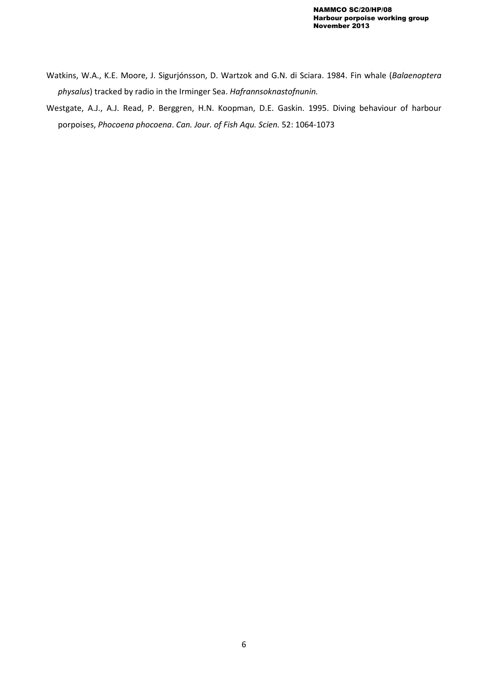- Watkins, W.A., K.E. Moore, J. Sigurjónsson, D. Wartzok and G.N. di Sciara. 1984. Fin whale (*Balaenoptera physalus*) tracked by radio in the Irminger Sea. *Hafrannsoknastofnunin.*
- Westgate, A.J., A.J. Read, P. Berggren, H.N. Koopman, D.E. Gaskin. 1995. Diving behaviour of harbour porpoises, *Phocoena phocoena*. *Can. Jour. of Fish Aqu. Scien.* 52: 1064-1073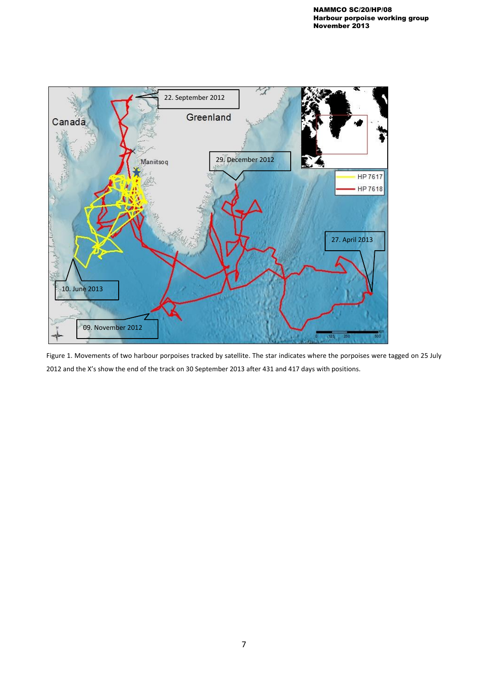

Figure 1. Movements of two harbour porpoises tracked by satellite. The star indicates where the porpoises were tagged on 25 July 2012 and the X's show the end of the track on 30 September 2013 after 431 and 417 days with positions.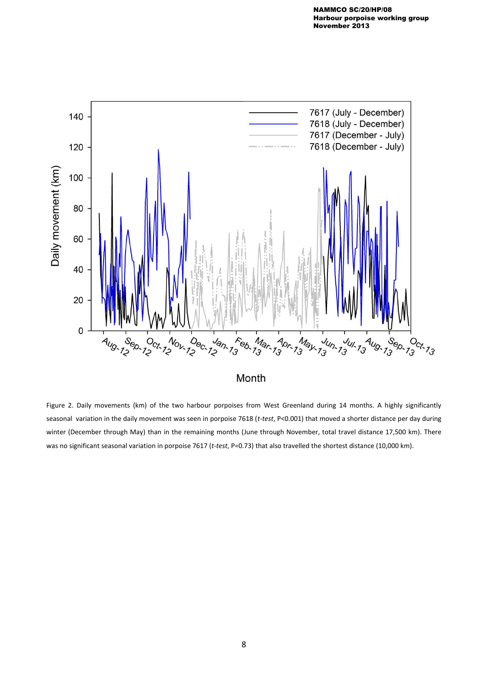

Month

Figure 2. Daily movements (km) of the two harbour porpoises from West Greenland during 14 months. A highly significantly seasonal variation in the daily movement was seen in porpoise 7618 (*t-test*, P<0.001) that moved a shorter distance per day during winter (December through May) than in the remaining months (June through November, total travel distance 17,500 km). There was no significant seasonal variation in porpoise 7617 (*t-test*, P=0.73) that also travelled the shortest distance (10,000 km).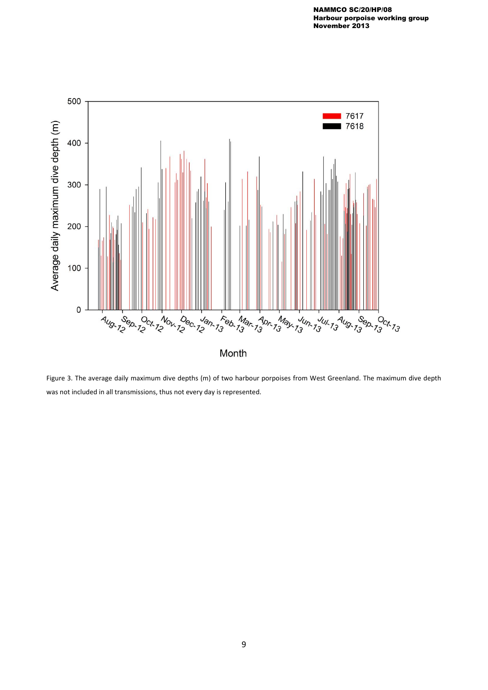

Figure 3. The average daily maximum dive depths (m) of two harbour porpoises from West Greenland. The maximum dive depth was not included in all transmissions, thus not every day is represented.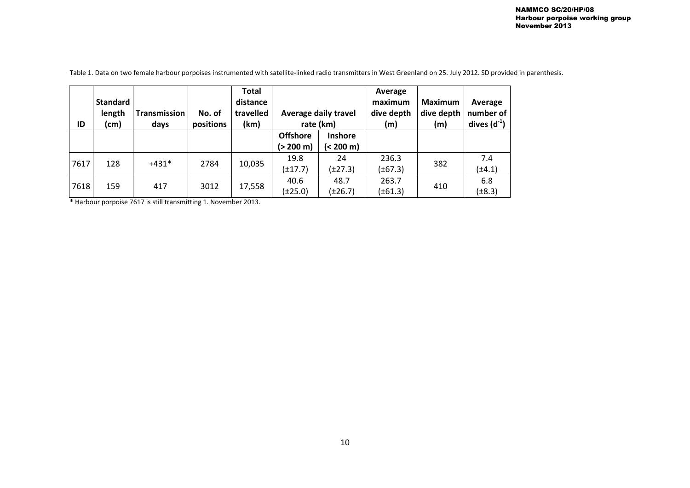| ID   | <b>Standard</b><br>length<br>(cm) | Transmission<br>days | No. of<br>positions | <b>Total</b><br>distance<br>travelled<br>(km) | <b>Average daily travel</b><br>rate (km) |                | Average<br>maximum<br>dive depth<br>(m) | <b>Maximum</b><br>dive depth<br>(m) | Average<br>number of<br>dives $(d^{-1})$ |
|------|-----------------------------------|----------------------|---------------------|-----------------------------------------------|------------------------------------------|----------------|-----------------------------------------|-------------------------------------|------------------------------------------|
|      |                                   |                      |                     |                                               | <b>Offshore</b>                          | <b>Inshore</b> |                                         |                                     |                                          |
|      |                                   |                      |                     |                                               | (> 200 m)                                | (< 200 m)      |                                         |                                     |                                          |
| 7617 | 128                               | $+431*$              | 2784                | 10,035                                        | 19.8                                     | 24             | 236.3                                   | 382                                 | 7.4                                      |
|      |                                   |                      |                     |                                               | $(\pm 17.7)$                             | $(\pm 27.3)$   | $(\pm 67.3)$                            |                                     | $(\pm 4.1)$                              |
| 7618 | 159                               | 417                  | 3012                | 17,558                                        | 40.6                                     | 48.7           | 263.7                                   | 410                                 | 6.8                                      |
|      |                                   |                      |                     |                                               | $(\pm 25.0)$                             | $(\pm 26.7)$   | $(\pm 61.3)$                            |                                     | $(\pm 8.3)$                              |

Table 1. Data on two female harbour porpoises instrumented with satellite-linked radio transmitters in West Greenland on 25. July 2012. SD provided in parenthesis.

\* Harbour porpoise 7617 is still transmitting 1. November 2013.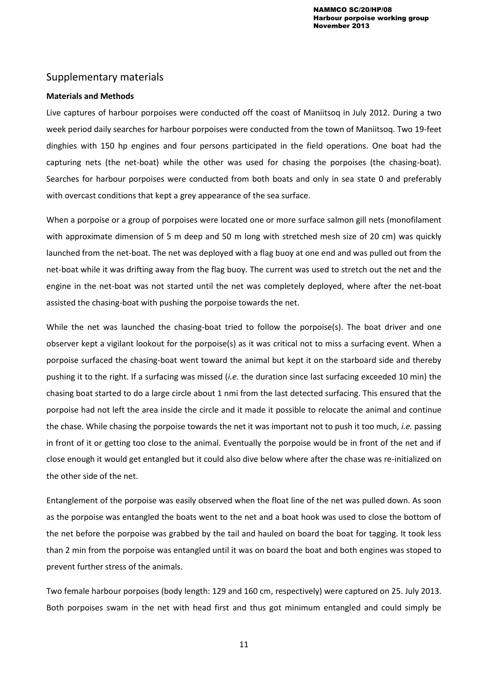# Supplementary materials

## **Materials and Methods**

Live captures of harbour porpoises were conducted off the coast of Maniitsoq in July 2012. During a two week period daily searches for harbour porpoises were conducted from the town of Maniitsoq. Two 19-feet dinghies with 150 hp engines and four persons participated in the field operations. One boat had the capturing nets (the net-boat) while the other was used for chasing the porpoises (the chasing-boat). Searches for harbour porpoises were conducted from both boats and only in sea state 0 and preferably with overcast conditions that kept a grey appearance of the sea surface.

When a porpoise or a group of porpoises were located one or more surface salmon gill nets (monofilament with approximate dimension of 5 m deep and 50 m long with stretched mesh size of 20 cm) was quickly launched from the net-boat. The net was deployed with a flag buoy at one end and was pulled out from the net-boat while it was drifting away from the flag buoy. The current was used to stretch out the net and the engine in the net-boat was not started until the net was completely deployed, where after the net-boat assisted the chasing-boat with pushing the porpoise towards the net.

While the net was launched the chasing-boat tried to follow the porpoise(s). The boat driver and one observer kept a vigilant lookout for the porpoise(s) as it was critical not to miss a surfacing event. When a porpoise surfaced the chasing-boat went toward the animal but kept it on the starboard side and thereby pushing it to the right. If a surfacing was missed (*i.e.* the duration since last surfacing exceeded 10 min) the chasing boat started to do a large circle about 1 nmi from the last detected surfacing. This ensured that the porpoise had not left the area inside the circle and it made it possible to relocate the animal and continue the chase. While chasing the porpoise towards the net it was important not to push it too much, *i.e.* passing in front of it or getting too close to the animal. Eventually the porpoise would be in front of the net and if close enough it would get entangled but it could also dive below where after the chase was re-initialized on the other side of the net.

Entanglement of the porpoise was easily observed when the float line of the net was pulled down. As soon as the porpoise was entangled the boats went to the net and a boat hook was used to close the bottom of the net before the porpoise was grabbed by the tail and hauled on board the boat for tagging. It took less than 2 min from the porpoise was entangled until it was on board the boat and both engines was stoped to prevent further stress of the animals.

Two female harbour porpoises (body length: 129 and 160 cm, respectively) were captured on 25. July 2013. Both porpoises swam in the net with head first and thus got minimum entangled and could simply be

11